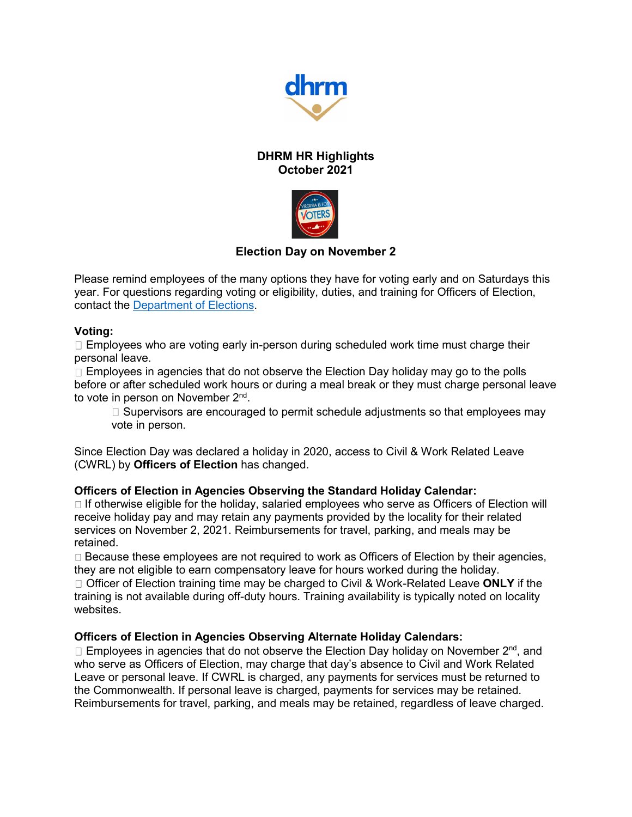

# **DHRM HR Highlights October 2021**



# **Election Day on November 2**

Please remind employees of the many options they have for voting early and on Saturdays this year. For questions regarding voting or eligibility, duties, and training for Officers of Election, contact the [Department of Elections.](https://www.elections.virginia.gov/)

#### **Voting:**

 $\Box$  Employees who are voting early in-person during scheduled work time must charge their personal leave.

 $\Box$  Employees in agencies that do not observe the Election Day holiday may go to the polls before or after scheduled work hours or during a meal break or they must charge personal leave to vote in person on November 2<sup>nd</sup>.

 $\Box$  Supervisors are encouraged to permit schedule adjustments so that employees may vote in person.

Since Election Day was declared a holiday in 2020, access to Civil & Work Related Leave (CWRL) by **Officers of Election** has changed.

#### **Officers of Election in Agencies Observing the Standard Holiday Calendar:**

 $\Box$  If otherwise eligible for the holiday, salaried employees who serve as Officers of Election will receive holiday pay and may retain any payments provided by the locality for their related services on November 2, 2021. Reimbursements for travel, parking, and meals may be retained.

 $\Box$  Because these employees are not required to work as Officers of Election by their agencies, they are not eligible to earn compensatory leave for hours worked during the holiday.

Officer of Election training time may be charged to Civil & Work-Related Leave **ONLY** if the training is not available during off-duty hours. Training availability is typically noted on locality websites.

### **Officers of Election in Agencies Observing Alternate Holiday Calendars:**

Employees in agencies that do not observe the Election Day holiday on November 2<sup>nd</sup>, and who serve as Officers of Election, may charge that day's absence to Civil and Work Related Leave or personal leave. If CWRL is charged, any payments for services must be returned to the Commonwealth. If personal leave is charged, payments for services may be retained. Reimbursements for travel, parking, and meals may be retained, regardless of leave charged.